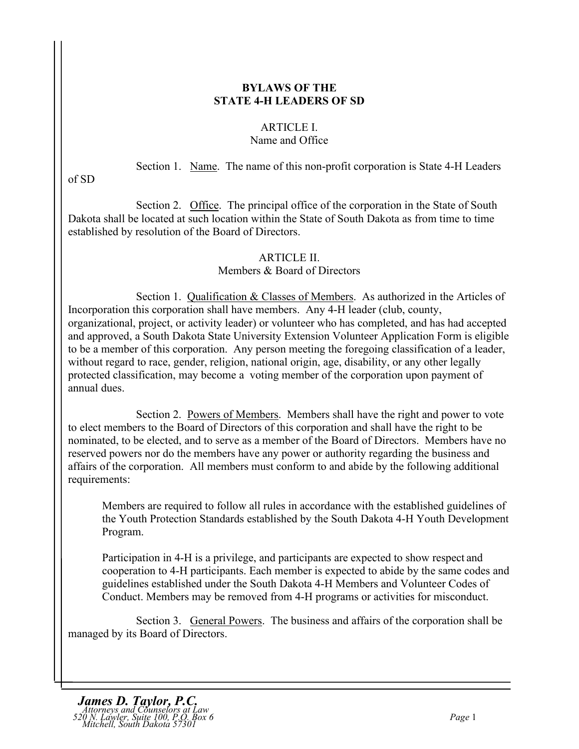## **BYLAWS OF THE STATE 4-H LEADERS OF SD**

# ARTICLE I.

## Name and Office

Section 1. Name. The name of this non-profit corporation is State 4-H Leaders

of SD

Section 2. Office. The principal office of the corporation in the State of South Dakota shall be located at such location within the State of South Dakota as from time to time established by resolution of the Board of Directors.

## ARTICLE II.

Members & Board of Directors

Section 1. Qualification & Classes of Members. As authorized in the Articles of Incorporation this corporation shall have members. Any 4-H leader (club, county, organizational, project, or activity leader) or volunteer who has completed, and has had accepted and approved, a South Dakota State University Extension Volunteer Application Form is eligible to be a member of this corporation. Any person meeting the foregoing classification of a leader, without regard to race, gender, religion, national origin, age, disability, or any other legally protected classification, may become a voting member of the corporation upon payment of annual dues.

Section 2. Powers of Members. Members shall have the right and power to vote to elect members to the Board of Directors of this corporation and shall have the right to be nominated, to be elected, and to serve as a member of the Board of Directors. Members have no reserved powers nor do the members have any power or authority regarding the business and affairs of the corporation. All members must conform to and abide by the following additional requirements:

Members are required to follow all rules in accordance with the established guidelines of the Youth Protection Standards established by the South Dakota 4-H Youth Development Program.

Participation in 4-H is a privilege, and participants are expected to show respect and cooperation to 4-H participants. Each member is expected to abide by the same codes and guidelines established under the South Dakota 4-H Members and Volunteer Codes of Conduct. Members may be removed from 4-H programs or activities for misconduct.

Section 3. General Powers. The business and affairs of the corporation shall be managed by its Board of Directors.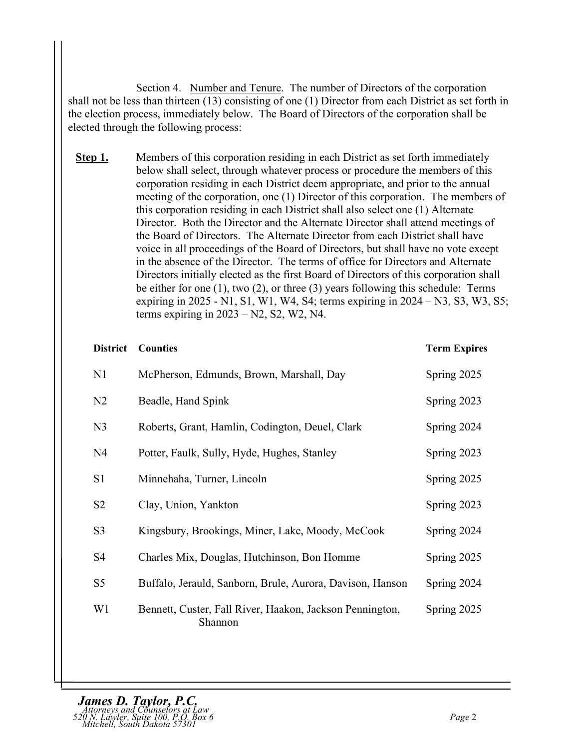Section 4. Number and Tenure. The number of Directors of the corporation shall not be less than thirteen (13) consisting of one (1) Director from each District as set forth in the election process, immediately below. The Board of Directors of the corporation shall be elected through the following process:

**Step 1.** Members of this corporation residing in each District as set forth immediately below shall select, through whatever process or procedure the members of this corporation residing in each District deem appropriate, and prior to the annual meeting of the corporation, one (1) Director of this corporation. The members of this corporation residing in each District shall also select one (1) Alternate Director. Both the Director and the Alternate Director shall attend meetings of the Board of Directors. The Alternate Director from each District shall have voice in all proceedings of the Board of Directors, but shall have no vote except in the absence of the Director. The terms of office for Directors and Alternate Directors initially elected as the first Board of Directors of this corporation shall be either for one (1), two (2), or three (3) years following this schedule: Terms expiring in 2025 - N1, S1, W1, W4, S4; terms expiring in 2024 – N3, S3, W3, S5; terms expiring in  $2023 - N2$ , S2, W2, N4.

| <b>District</b> | <b>Counties</b>                                                     | <b>Term Expires</b> |
|-----------------|---------------------------------------------------------------------|---------------------|
| N <sub>1</sub>  | McPherson, Edmunds, Brown, Marshall, Day                            | Spring 2025         |
| N <sub>2</sub>  | Beadle, Hand Spink                                                  | Spring 2023         |
| N <sub>3</sub>  | Roberts, Grant, Hamlin, Codington, Deuel, Clark                     | Spring 2024         |
| N <sub>4</sub>  | Potter, Faulk, Sully, Hyde, Hughes, Stanley                         | Spring 2023         |
| S <sub>1</sub>  | Minnehaha, Turner, Lincoln                                          | Spring 2025         |
| S <sub>2</sub>  | Clay, Union, Yankton                                                | Spring 2023         |
| S <sub>3</sub>  | Kingsbury, Brookings, Miner, Lake, Moody, McCook                    | Spring 2024         |
| S <sub>4</sub>  | Charles Mix, Douglas, Hutchinson, Bon Homme                         | Spring 2025         |
| S <sub>5</sub>  | Buffalo, Jerauld, Sanborn, Brule, Aurora, Davison, Hanson           | Spring 2024         |
| W <sub>1</sub>  | Bennett, Custer, Fall River, Haakon, Jackson Pennington,<br>Shannon | Spring 2025         |
|                 |                                                                     |                     |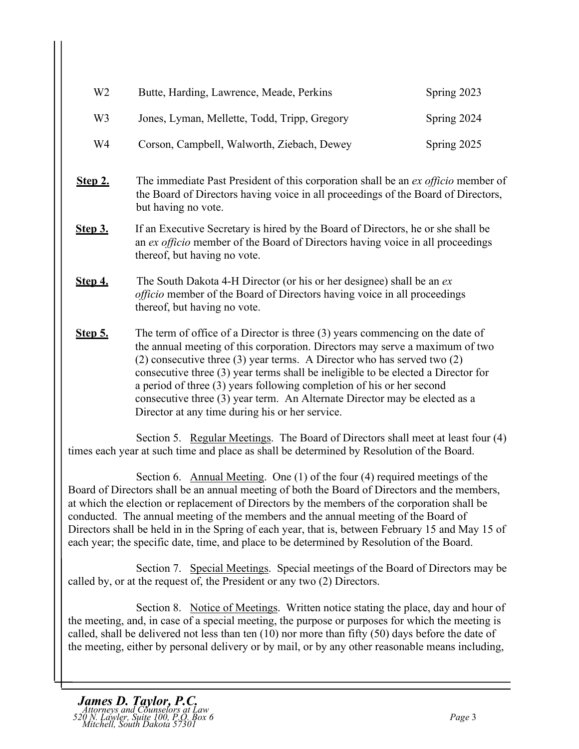| W <sub>2</sub>                                                                                                                                                                                                                                                                                                                                                                                                                                                                                                                                                             | Butte, Harding, Lawrence, Meade, Perkins                                                                                                                                                                                                                                                                                                                                                                                                                                                                                                      | Spring 2023 |  |  |
|----------------------------------------------------------------------------------------------------------------------------------------------------------------------------------------------------------------------------------------------------------------------------------------------------------------------------------------------------------------------------------------------------------------------------------------------------------------------------------------------------------------------------------------------------------------------------|-----------------------------------------------------------------------------------------------------------------------------------------------------------------------------------------------------------------------------------------------------------------------------------------------------------------------------------------------------------------------------------------------------------------------------------------------------------------------------------------------------------------------------------------------|-------------|--|--|
| W <sub>3</sub>                                                                                                                                                                                                                                                                                                                                                                                                                                                                                                                                                             | Jones, Lyman, Mellette, Todd, Tripp, Gregory                                                                                                                                                                                                                                                                                                                                                                                                                                                                                                  | Spring 2024 |  |  |
| W4                                                                                                                                                                                                                                                                                                                                                                                                                                                                                                                                                                         | Corson, Campbell, Walworth, Ziebach, Dewey                                                                                                                                                                                                                                                                                                                                                                                                                                                                                                    | Spring 2025 |  |  |
| <u>Step 2.</u>                                                                                                                                                                                                                                                                                                                                                                                                                                                                                                                                                             | The immediate Past President of this corporation shall be an ex officio member of<br>the Board of Directors having voice in all proceedings of the Board of Directors,<br>but having no vote.                                                                                                                                                                                                                                                                                                                                                 |             |  |  |
| <u>Step 3.</u>                                                                                                                                                                                                                                                                                                                                                                                                                                                                                                                                                             | If an Executive Secretary is hired by the Board of Directors, he or she shall be<br>an ex officio member of the Board of Directors having voice in all proceedings<br>thereof, but having no vote.                                                                                                                                                                                                                                                                                                                                            |             |  |  |
| <u>Step 4.</u>                                                                                                                                                                                                                                                                                                                                                                                                                                                                                                                                                             | The South Dakota 4-H Director (or his or her designee) shall be an ex<br>officio member of the Board of Directors having voice in all proceedings<br>thereof, but having no vote.                                                                                                                                                                                                                                                                                                                                                             |             |  |  |
| <u>Step 5.</u>                                                                                                                                                                                                                                                                                                                                                                                                                                                                                                                                                             | The term of office of a Director is three (3) years commencing on the date of<br>the annual meeting of this corporation. Directors may serve a maximum of two<br>$(2)$ consecutive three $(3)$ year terms. A Director who has served two $(2)$<br>consecutive three (3) year terms shall be ineligible to be elected a Director for<br>a period of three (3) years following completion of his or her second<br>consecutive three (3) year term. An Alternate Director may be elected as a<br>Director at any time during his or her service. |             |  |  |
| Section 5. Regular Meetings. The Board of Directors shall meet at least four (4)<br>times each year at such time and place as shall be determined by Resolution of the Board.                                                                                                                                                                                                                                                                                                                                                                                              |                                                                                                                                                                                                                                                                                                                                                                                                                                                                                                                                               |             |  |  |
| Section 6. Annual Meeting. One $(1)$ of the four $(4)$ required meetings of the<br>Board of Directors shall be an annual meeting of both the Board of Directors and the members,<br>at which the election or replacement of Directors by the members of the corporation shall be<br>conducted. The annual meeting of the members and the annual meeting of the Board of<br>Directors shall be held in in the Spring of each year, that is, between February 15 and May 15 of<br>each year; the specific date, time, and place to be determined by Resolution of the Board. |                                                                                                                                                                                                                                                                                                                                                                                                                                                                                                                                               |             |  |  |
| Section 7. Special Meetings. Special meetings of the Board of Directors may be<br>called by, or at the request of, the President or any two (2) Directors.                                                                                                                                                                                                                                                                                                                                                                                                                 |                                                                                                                                                                                                                                                                                                                                                                                                                                                                                                                                               |             |  |  |
| Section 8. Notice of Meetings. Written notice stating the place, day and hour of<br>the meeting, and, in case of a special meeting, the purpose or purposes for which the meeting is<br>called, shall be delivered not less than ten $(10)$ nor more than fifty $(50)$ days before the date of                                                                                                                                                                                                                                                                             |                                                                                                                                                                                                                                                                                                                                                                                                                                                                                                                                               |             |  |  |

the meeting, either by personal delivery or by mail, or by any other reasonable means including,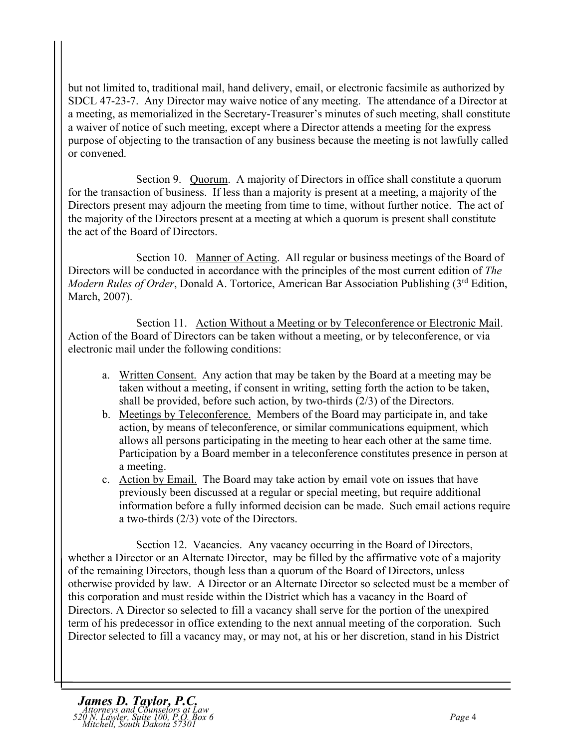but not limited to, traditional mail, hand delivery, email, or electronic facsimile as authorized by SDCL 47-23-7. Any Director may waive notice of any meeting. The attendance of a Director at a meeting, as memorialized in the Secretary-Treasurer's minutes of such meeting, shall constitute a waiver of notice of such meeting, except where a Director attends a meeting for the express purpose of objecting to the transaction of any business because the meeting is not lawfully called or convened.

Section 9. Quorum. A majority of Directors in office shall constitute a quorum for the transaction of business. If less than a majority is present at a meeting, a majority of the Directors present may adjourn the meeting from time to time, without further notice. The act of the majority of the Directors present at a meeting at which a quorum is present shall constitute the act of the Board of Directors.

Section 10. Manner of Acting. All regular or business meetings of the Board of Directors will be conducted in accordance with the principles of the most current edition of *The Modern Rules of Order*, Donald A. Tortorice, American Bar Association Publishing (3<sup>rd</sup> Edition, March, 2007).

Section 11. Action Without a Meeting or by Teleconference or Electronic Mail. Action of the Board of Directors can be taken without a meeting, or by teleconference, or via electronic mail under the following conditions:

- a. Written Consent. Any action that may be taken by the Board at a meeting may be taken without a meeting, if consent in writing, setting forth the action to be taken, shall be provided, before such action, by two-thirds (2/3) of the Directors.
- b. Meetings by Teleconference. Members of the Board may participate in, and take action, by means of teleconference, or similar communications equipment, which allows all persons participating in the meeting to hear each other at the same time. Participation by a Board member in a teleconference constitutes presence in person at a meeting.
- c. Action by Email. The Board may take action by email vote on issues that have previously been discussed at a regular or special meeting, but require additional information before a fully informed decision can be made. Such email actions require a two-thirds (2/3) vote of the Directors.

Section 12. Vacancies. Any vacancy occurring in the Board of Directors, whether a Director or an Alternate Director, may be filled by the affirmative vote of a majority of the remaining Directors, though less than a quorum of the Board of Directors, unless otherwise provided by law. A Director or an Alternate Director so selected must be a member of this corporation and must reside within the District which has a vacancy in the Board of Directors. A Director so selected to fill a vacancy shall serve for the portion of the unexpired term of his predecessor in office extending to the next annual meeting of the corporation. Such Director selected to fill a vacancy may, or may not, at his or her discretion, stand in his District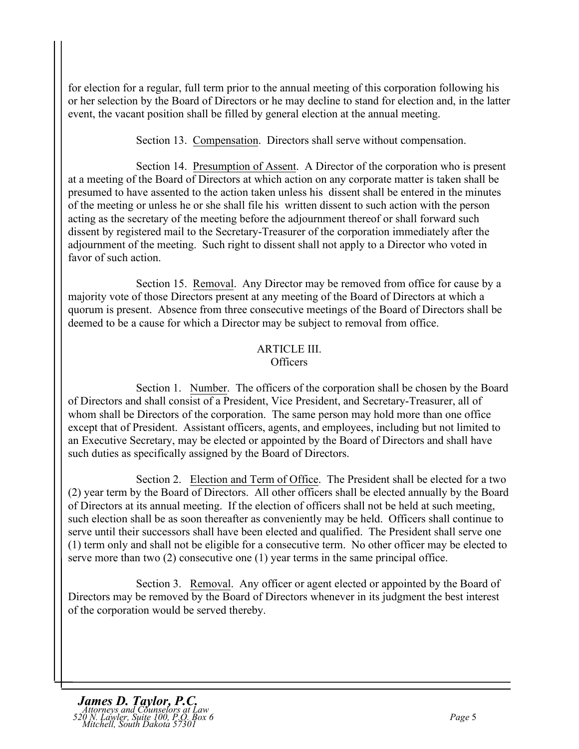for election for a regular, full term prior to the annual meeting of this corporation following his or her selection by the Board of Directors or he may decline to stand for election and, in the latter event, the vacant position shall be filled by general election at the annual meeting.

Section 13. Compensation. Directors shall serve without compensation.

Section 14. Presumption of Assent. A Director of the corporation who is present at a meeting of the Board of Directors at which action on any corporate matter is taken shall be presumed to have assented to the action taken unless his dissent shall be entered in the minutes of the meeting or unless he or she shall file his written dissent to such action with the person acting as the secretary of the meeting before the adjournment thereof or shall forward such dissent by registered mail to the Secretary-Treasurer of the corporation immediately after the adjournment of the meeting. Such right to dissent shall not apply to a Director who voted in favor of such action.

Section 15. Removal. Any Director may be removed from office for cause by a majority vote of those Directors present at any meeting of the Board of Directors at which a quorum is present. Absence from three consecutive meetings of the Board of Directors shall be deemed to be a cause for which a Director may be subject to removal from office.

## ARTICLE III. **Officers**

Section 1. Number. The officers of the corporation shall be chosen by the Board of Directors and shall consist of a President, Vice President, and Secretary-Treasurer, all of whom shall be Directors of the corporation. The same person may hold more than one office except that of President. Assistant officers, agents, and employees, including but not limited to an Executive Secretary, may be elected or appointed by the Board of Directors and shall have such duties as specifically assigned by the Board of Directors.

Section 2. Election and Term of Office. The President shall be elected for a two (2) year term by the Board of Directors. All other officers shall be elected annually by the Board of Directors at its annual meeting. If the election of officers shall not be held at such meeting, such election shall be as soon thereafter as conveniently may be held. Officers shall continue to serve until their successors shall have been elected and qualified. The President shall serve one (1) term only and shall not be eligible for a consecutive term. No other officer may be elected to serve more than two (2) consecutive one (1) year terms in the same principal office.

Section 3. Removal. Any officer or agent elected or appointed by the Board of Directors may be removed by the Board of Directors whenever in its judgment the best interest of the corporation would be served thereby.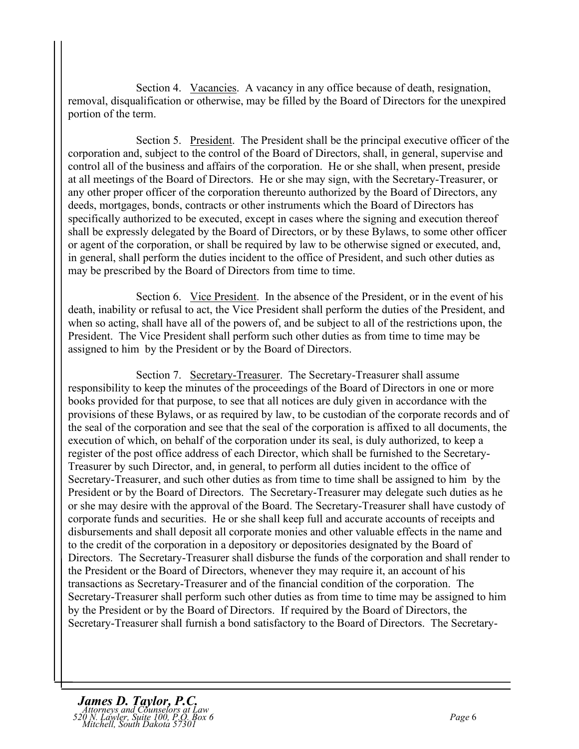Section 4. Vacancies. A vacancy in any office because of death, resignation, removal, disqualification or otherwise, may be filled by the Board of Directors for the unexpired portion of the term.

Section 5. President. The President shall be the principal executive officer of the corporation and, subject to the control of the Board of Directors, shall, in general, supervise and control all of the business and affairs of the corporation. He or she shall, when present, preside at all meetings of the Board of Directors. He or she may sign, with the Secretary-Treasurer, or any other proper officer of the corporation thereunto authorized by the Board of Directors, any deeds, mortgages, bonds, contracts or other instruments which the Board of Directors has specifically authorized to be executed, except in cases where the signing and execution thereof shall be expressly delegated by the Board of Directors, or by these Bylaws, to some other officer or agent of the corporation, or shall be required by law to be otherwise signed or executed, and, in general, shall perform the duties incident to the office of President, and such other duties as may be prescribed by the Board of Directors from time to time.

Section 6. Vice President. In the absence of the President, or in the event of his death, inability or refusal to act, the Vice President shall perform the duties of the President, and when so acting, shall have all of the powers of, and be subject to all of the restrictions upon, the President. The Vice President shall perform such other duties as from time to time may be assigned to him by the President or by the Board of Directors.

Section 7. Secretary-Treasurer. The Secretary-Treasurer shall assume responsibility to keep the minutes of the proceedings of the Board of Directors in one or more books provided for that purpose, to see that all notices are duly given in accordance with the provisions of these Bylaws, or as required by law, to be custodian of the corporate records and of the seal of the corporation and see that the seal of the corporation is affixed to all documents, the execution of which, on behalf of the corporation under its seal, is duly authorized, to keep a register of the post office address of each Director, which shall be furnished to the Secretary-Treasurer by such Director, and, in general, to perform all duties incident to the office of Secretary-Treasurer, and such other duties as from time to time shall be assigned to him by the President or by the Board of Directors. The Secretary-Treasurer may delegate such duties as he or she may desire with the approval of the Board. The Secretary-Treasurer shall have custody of corporate funds and securities. He or she shall keep full and accurate accounts of receipts and disbursements and shall deposit all corporate monies and other valuable effects in the name and to the credit of the corporation in a depository or depositories designated by the Board of Directors. The Secretary-Treasurer shall disburse the funds of the corporation and shall render to the President or the Board of Directors, whenever they may require it, an account of his transactions as Secretary-Treasurer and of the financial condition of the corporation. The Secretary-Treasurer shall perform such other duties as from time to time may be assigned to him by the President or by the Board of Directors. If required by the Board of Directors, the Secretary-Treasurer shall furnish a bond satisfactory to the Board of Directors. The Secretary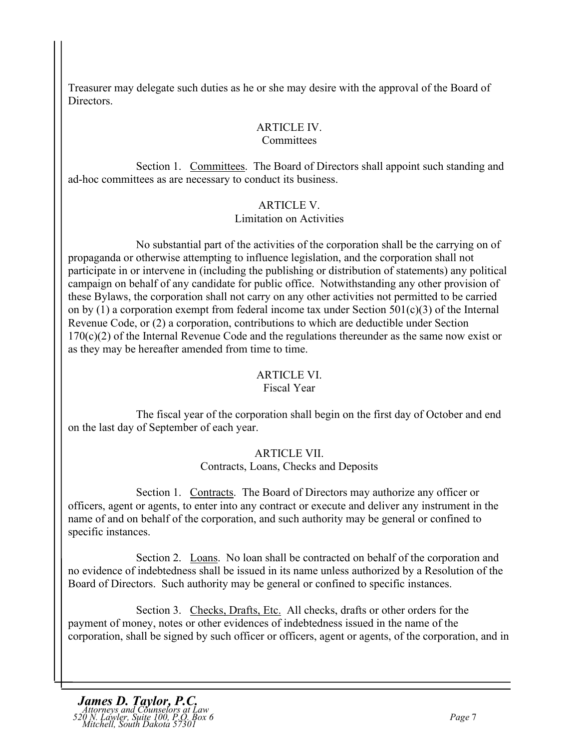Treasurer may delegate such duties as he or she may desire with the approval of the Board of Directors.

## ARTICLE IV. **Committees**

Section 1. Committees. The Board of Directors shall appoint such standing and ad-hoc committees as are necessary to conduct its business.

## ARTICLE V.

## Limitation on Activities

No substantial part of the activities of the corporation shall be the carrying on of propaganda or otherwise attempting to influence legislation, and the corporation shall not participate in or intervene in (including the publishing or distribution of statements) any political campaign on behalf of any candidate for public office. Notwithstanding any other provision of these Bylaws, the corporation shall not carry on any other activities not permitted to be carried on by (1) a corporation exempt from federal income tax under Section  $501(c)(3)$  of the Internal Revenue Code, or (2) a corporation, contributions to which are deductible under Section  $170(c)(2)$  of the Internal Revenue Code and the regulations thereunder as the same now exist or as they may be hereafter amended from time to time.

# ARTICLE VI.

## Fiscal Year

The fiscal year of the corporation shall begin on the first day of October and end on the last day of September of each year.

## ARTICLE VII. Contracts, Loans, Checks and Deposits

Section 1. Contracts. The Board of Directors may authorize any officer or officers, agent or agents, to enter into any contract or execute and deliver any instrument in the name of and on behalf of the corporation, and such authority may be general or confined to specific instances.

Section 2. Loans. No loan shall be contracted on behalf of the corporation and no evidence of indebtedness shall be issued in its name unless authorized by a Resolution of the Board of Directors. Such authority may be general or confined to specific instances.

Section 3. Checks, Drafts, Etc. All checks, drafts or other orders for the payment of money, notes or other evidences of indebtedness issued in the name of the corporation, shall be signed by such officer or officers, agent or agents, of the corporation, and in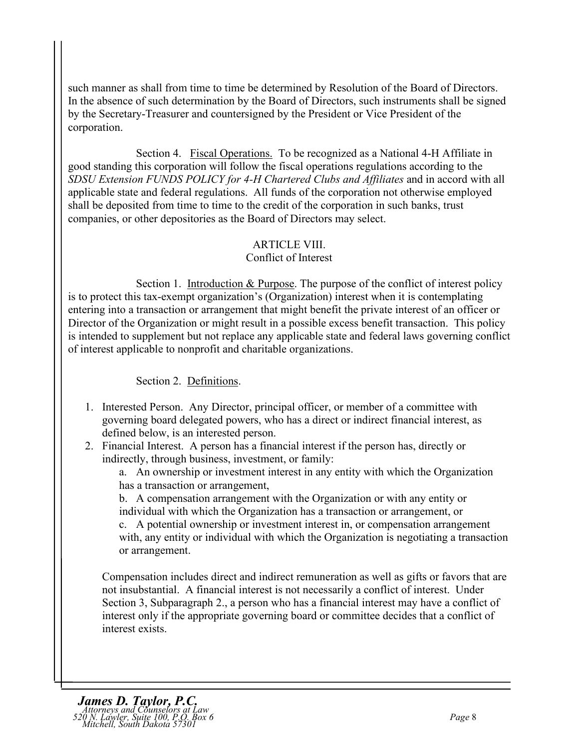such manner as shall from time to time be determined by Resolution of the Board of Directors. In the absence of such determination by the Board of Directors, such instruments shall be signed by the Secretary-Treasurer and countersigned by the President or Vice President of the corporation.

Section 4. Fiscal Operations. To be recognized as a National 4-H Affiliate in good standing this corporation will follow the fiscal operations regulations according to the *SDSU Extension FUNDS POLICY for 4-H Chartered Clubs and Affiliates* and in accord with all applicable state and federal regulations. All funds of the corporation not otherwise employed shall be deposited from time to time to the credit of the corporation in such banks, trust companies, or other depositories as the Board of Directors may select.

## ARTICLE VIII.

## Conflict of Interest

Section 1. Introduction & Purpose. The purpose of the conflict of interest policy is to protect this tax-exempt organization's (Organization) interest when it is contemplating entering into a transaction or arrangement that might benefit the private interest of an officer or Director of the Organization or might result in a possible excess benefit transaction. This policy is intended to supplement but not replace any applicable state and federal laws governing conflict of interest applicable to nonprofit and charitable organizations.

## Section 2. Definitions.

- 1. Interested Person. Any Director, principal officer, or member of a committee with governing board delegated powers, who has a direct or indirect financial interest, as defined below, is an interested person.
- 2. Financial Interest. A person has a financial interest if the person has, directly or indirectly, through business, investment, or family:

a. An ownership or investment interest in any entity with which the Organization has a transaction or arrangement,

b. A compensation arrangement with the Organization or with any entity or individual with which the Organization has a transaction or arrangement, or

c. A potential ownership or investment interest in, or compensation arrangement with, any entity or individual with which the Organization is negotiating a transaction or arrangement.

Compensation includes direct and indirect remuneration as well as gifts or favors that are not insubstantial. A financial interest is not necessarily a conflict of interest. Under Section 3, Subparagraph 2., a person who has a financial interest may have a conflict of interest only if the appropriate governing board or committee decides that a conflict of interest exists.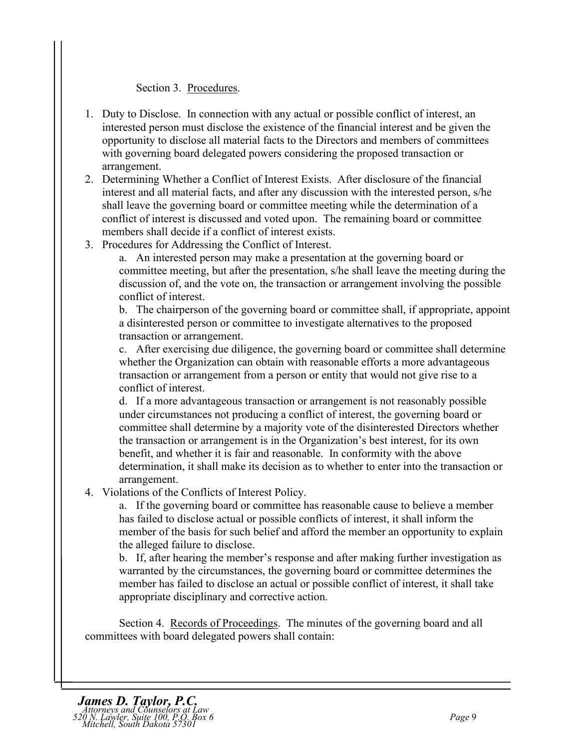## Section 3. Procedures.

- 1. Duty to Disclose. In connection with any actual or possible conflict of interest, an interested person must disclose the existence of the financial interest and be given the opportunity to disclose all material facts to the Directors and members of committees with governing board delegated powers considering the proposed transaction or arrangement.
- 2. Determining Whether a Conflict of Interest Exists.After disclosure of the financial interest and all material facts, and after any discussion with the interested person, s/he shall leave the governing board or committee meeting while the determination of a conflict of interest is discussed and voted upon. The remaining board or committee members shall decide if a conflict of interest exists.
- 3. Procedures for Addressing the Conflict of Interest.

a. An interested person may make a presentation at the governing board or committee meeting, but after the presentation, s/he shall leave the meeting during the discussion of, and the vote on, the transaction or arrangement involving the possible conflict of interest.

b. The chairperson of the governing board or committee shall, if appropriate, appoint a disinterested person or committee to investigate alternatives to the proposed transaction or arrangement.

c. After exercising due diligence, the governing board or committee shall determine whether the Organization can obtain with reasonable efforts a more advantageous transaction or arrangement from a person or entity that would not give rise to a conflict of interest.

d. If a more advantageous transaction or arrangement is not reasonably possible under circumstances not producing a conflict of interest, the governing board or committee shall determine by a majority vote of the disinterested Directors whether the transaction or arrangement is in the Organization's best interest, for its own benefit, and whether it is fair and reasonable. In conformity with the above determination, it shall make its decision as to whether to enter into the transaction or arrangement.

4. Violations of the Conflicts of Interest Policy.

a. If the governing board or committee has reasonable cause to believe a member has failed to disclose actual or possible conflicts of interest, it shall inform the member of the basis for such belief and afford the member an opportunity to explain the alleged failure to disclose.

b. If, after hearing the member's response and after making further investigation as warranted by the circumstances, the governing board or committee determines the member has failed to disclose an actual or possible conflict of interest, it shall take appropriate disciplinary and corrective action.

Section 4. Records of Proceedings. The minutes of the governing board and all committees with board delegated powers shall contain: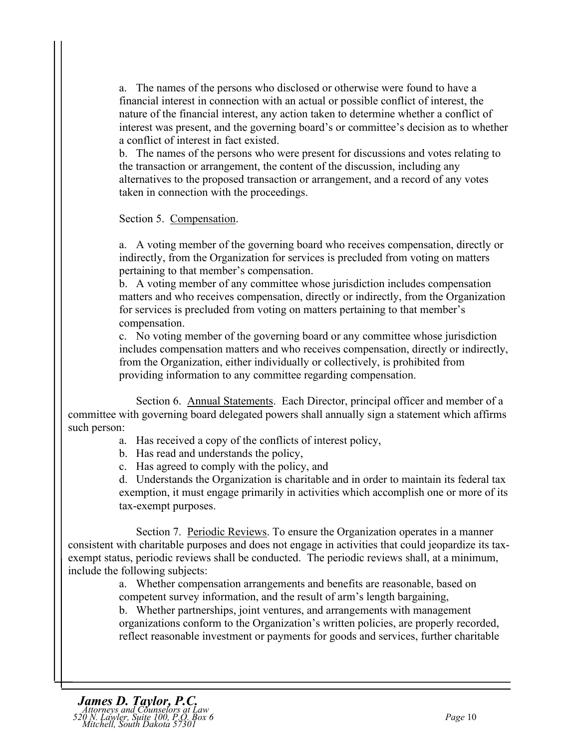a. The names of the persons who disclosed or otherwise were found to have a financial interest in connection with an actual or possible conflict of interest, the nature of the financial interest, any action taken to determine whether a conflict of interest was present, and the governing board's or committee's decision as to whether a conflict of interest in fact existed.

b. The names of the persons who were present for discussions and votes relating to the transaction or arrangement, the content of the discussion, including any alternatives to the proposed transaction or arrangement, and a record of any votes taken in connection with the proceedings.

## Section 5. Compensation.

a. A voting member of the governing board who receives compensation, directly or indirectly, from the Organization for services is precluded from voting on matters pertaining to that member's compensation.

b. A voting member of any committee whose jurisdiction includes compensation matters and who receives compensation, directly or indirectly, from the Organization for services is precluded from voting on matters pertaining to that member's compensation.

c. No voting member of the governing board or any committee whose jurisdiction includes compensation matters and who receives compensation, directly or indirectly, from the Organization, either individually or collectively, is prohibited from providing information to any committee regarding compensation.

Section 6. Annual Statements. Each Director, principal officer and member of a committee with governing board delegated powers shall annually sign a statement which affirms such person:

- a. Has received a copy of the conflicts of interest policy,
- b. Has read and understands the policy,

c. Has agreed to comply with the policy, and

d. Understands the Organization is charitable and in order to maintain its federal tax exemption, it must engage primarily in activities which accomplish one or more of its tax-exempt purposes.

Section 7. Periodic Reviews. To ensure the Organization operates in a manner consistent with charitable purposes and does not engage in activities that could jeopardize its taxexempt status, periodic reviews shall be conducted. The periodic reviews shall, at a minimum, include the following subjects:

> a. Whether compensation arrangements and benefits are reasonable, based on competent survey information, and the result of arm's length bargaining,

b. Whether partnerships, joint ventures, and arrangements with management organizations conform to the Organization's written policies, are properly recorded, reflect reasonable investment or payments for goods and services, further charitable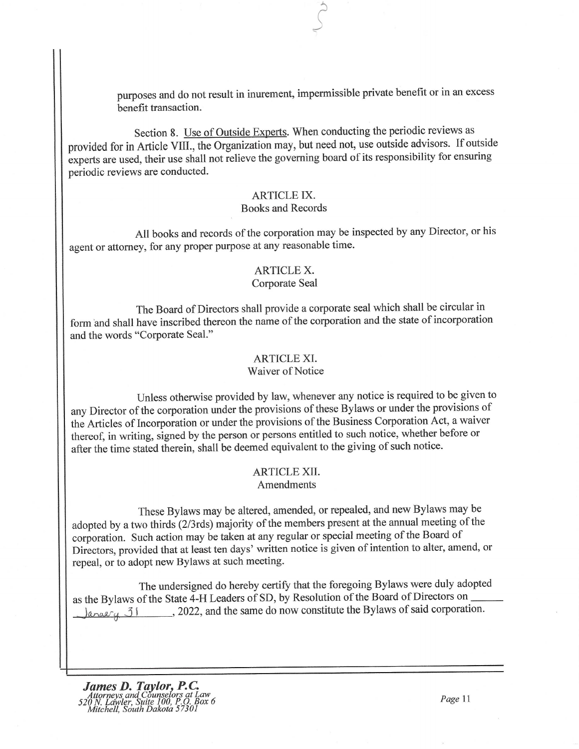purposes and do not result in inurement, impermissible private benefit or in an excess benefit transaction.

Section 8. Use of Outside Experts. When conducting the periodic reviews as provided for in Article VIII., the Organization may, but need not, use outside advisors. If outside experts are used, their use shall not relieve the governing board of its responsibility for ensuring periodic reviews are conducted.

#### **ARTICLE IX.**

#### **Books and Records**

All books and records of the corporation may be inspected by any Director, or his agent or attorney, for any proper purpose at any reasonable time.

#### **ARTICLE X.**

#### Corporate Seal

The Board of Directors shall provide a corporate seal which shall be circular in form and shall have inscribed thereon the name of the corporation and the state of incorporation and the words "Corporate Seal."

#### **ARTICLE XI.** Waiver of Notice

Unless otherwise provided by law, whenever any notice is required to be given to any Director of the corporation under the provisions of these Bylaws or under the provisions of the Articles of Incorporation or under the provisions of the Business Corporation Act, a waiver thereof, in writing, signed by the person or persons entitled to such notice, whether before or after the time stated therein, shall be deemed equivalent to the giving of such notice.

# **ARTICLE XII.**

## Amendments

These Bylaws may be altered, amended, or repealed, and new Bylaws may be adopted by a two thirds (2/3rds) majority of the members present at the annual meeting of the corporation. Such action may be taken at any regular or special meeting of the Board of Directors, provided that at least ten days' written notice is given of intention to alter, amend, or repeal, or to adopt new Bylaws at such meeting.

The undersigned do hereby certify that the foregoing Bylaws were duly adopted as the Bylaws of the State 4-H Leaders of SD, by Resolution of the Board of Directors on ..., 2022, and the same do now constitute the Bylaws of said corporation. <u>Janaery 31</u>

**James D. Taylor, P.C.**<br>Attorneys and Counselors at Law<br>520 N. Lawler, Suite 100, P.Q. Box 6 Mitchell, South Dakota 57301

Page 11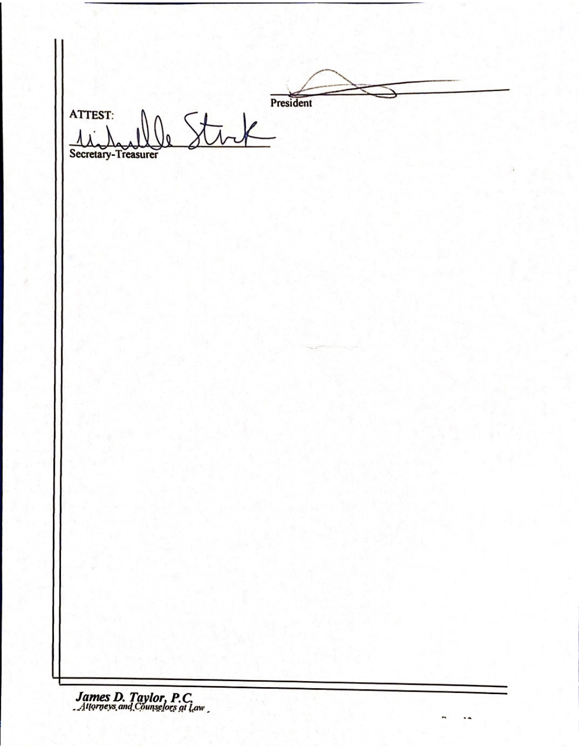President  $\frac{1}{2}$ **ATTEST:** λ

 $\ddot{\phantom{0}}$ 

 $\ddotsc$ 

James D. Taylor, P.C.<br>Attorneys.and.Counselors at Law

Secretary-Treasurer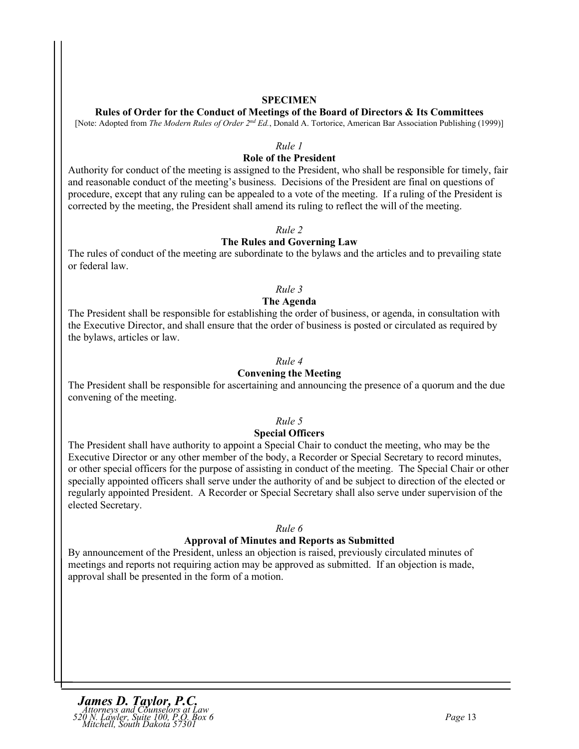#### **SPECIMEN**

#### **Rules of Order for the Conduct of Meetings of the Board of Directors & Its Committees**

[Note: Adopted from *The Modern Rules of Order 2nd Ed.*, Donald A. Tortorice, American Bar Association Publishing (1999)]

#### *Rule 1*

#### **Role of the President**

Authority for conduct of the meeting is assigned to the President, who shall be responsible for timely, fair and reasonable conduct of the meeting's business. Decisions of the President are final on questions of procedure, except that any ruling can be appealed to a vote of the meeting. If a ruling of the President is corrected by the meeting, the President shall amend its ruling to reflect the will of the meeting.

#### *Rule 2*

#### **The Rules and Governing Law**

The rules of conduct of the meeting are subordinate to the bylaws and the articles and to prevailing state or federal law.

#### *Rule 3*

#### **The Agenda**

The President shall be responsible for establishing the order of business, or agenda, in consultation with the Executive Director, and shall ensure that the order of business is posted or circulated as required by the bylaws, articles or law.

#### *Rule 4*

#### **Convening the Meeting**

The President shall be responsible for ascertaining and announcing the presence of a quorum and the due convening of the meeting.

#### *Rule 5*

#### **Special Officers**

The President shall have authority to appoint a Special Chair to conduct the meeting, who may be the Executive Director or any other member of the body, a Recorder or Special Secretary to record minutes, or other special officers for the purpose of assisting in conduct of the meeting. The Special Chair or other specially appointed officers shall serve under the authority of and be subject to direction of the elected or regularly appointed President. A Recorder or Special Secretary shall also serve under supervision of the elected Secretary.

#### *Rule 6*

#### **Approval of Minutes and Reports as Submitted**

By announcement of the President, unless an objection is raised, previously circulated minutes of meetings and reports not requiring action may be approved as submitted. If an objection is made, approval shall be presented in the form of a motion.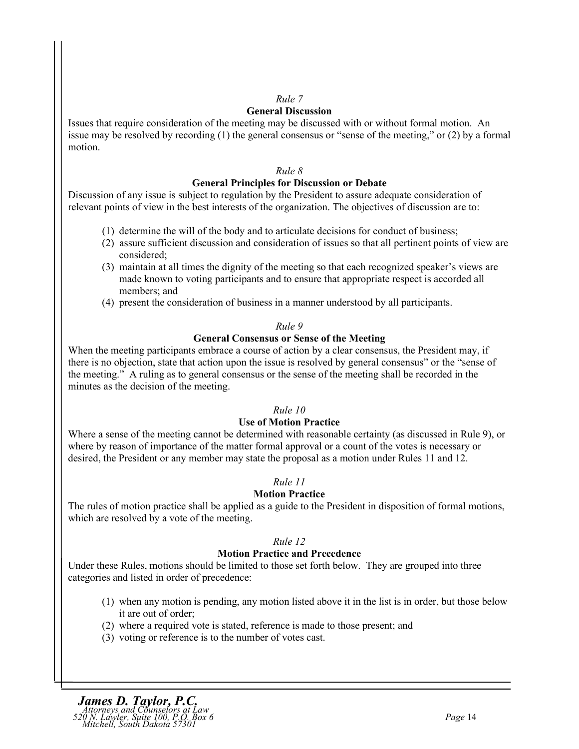#### *Rule 7*

### **General Discussion**

Issues that require consideration of the meeting may be discussed with or without formal motion. An issue may be resolved by recording (1) the general consensus or "sense of the meeting," or (2) by a formal motion.

#### *Rule 8*

### **General Principles for Discussion or Debate**

Discussion of any issue is subject to regulation by the President to assure adequate consideration of relevant points of view in the best interests of the organization. The objectives of discussion are to:

- (1) determine the will of the body and to articulate decisions for conduct of business;
- (2) assure sufficient discussion and consideration of issues so that all pertinent points of view are considered;
- (3) maintain at all times the dignity of the meeting so that each recognized speaker's views are made known to voting participants and to ensure that appropriate respect is accorded all members; and
- (4) present the consideration of business in a manner understood by all participants.

#### *Rule 9*

### **General Consensus or Sense of the Meeting**

When the meeting participants embrace a course of action by a clear consensus, the President may, if there is no objection, state that action upon the issue is resolved by general consensus" or the "sense of the meeting." A ruling as to general consensus or the sense of the meeting shall be recorded in the minutes as the decision of the meeting.

## *Rule 10*

## **Use of Motion Practice**

Where a sense of the meeting cannot be determined with reasonable certainty (as discussed in Rule 9), or where by reason of importance of the matter formal approval or a count of the votes is necessary or desired, the President or any member may state the proposal as a motion under Rules 11 and 12.

## *Rule 11*

## **Motion Practice**

The rules of motion practice shall be applied as a guide to the President in disposition of formal motions, which are resolved by a vote of the meeting.

## *Rule 12*

## **Motion Practice and Precedence**

Under these Rules, motions should be limited to those set forth below. They are grouped into three categories and listed in order of precedence:

- (1) when any motion is pending, any motion listed above it in the list is in order, but those below it are out of order;
- (2) where a required vote is stated, reference is made to those present; and
- (3) voting or reference is to the number of votes cast.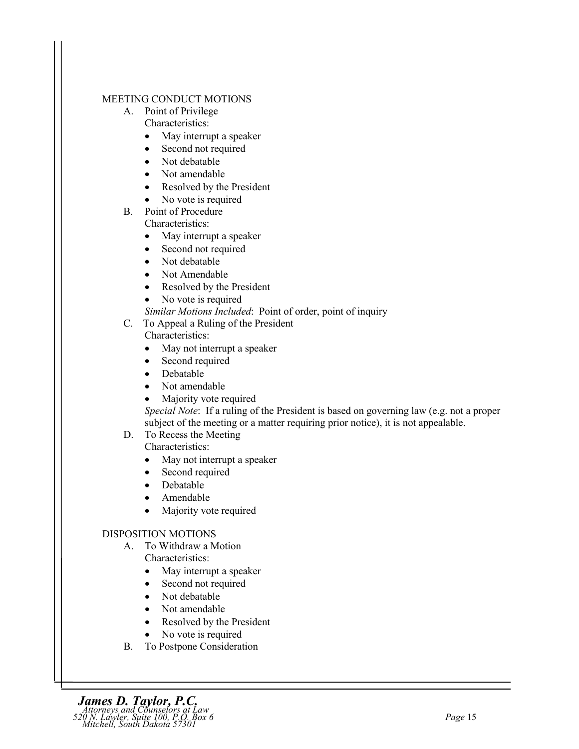### MEETING CONDUCT MOTIONS

- A. Point of Privilege Characteristics:
	- May interrupt a speaker
	- Second not required
	- Not debatable
	- Not amendable
	- Resolved by the President
	- No vote is required
- B. Point of Procedure Characteristics:
	- May interrupt a speaker
	- Second not required
	- Not debatable
	- Not Amendable
	- Resolved by the President
	- No vote is required
	- *Similar Motions Included*: Point of order, point of inquiry
- C. To Appeal a Ruling of the President

Characteristics:

- May not interrupt a speaker
- Second required
- Debatable
- Not amendable
- Majority vote required

*Special Note*: If a ruling of the President is based on governing law (e.g. not a proper subject of the meeting or a matter requiring prior notice), it is not appealable.

- D. To Recess the Meeting
	- Characteristics:
		- May not interrupt a speaker
		- Second required
		- Debatable
		- Amendable
		- Majority vote required

## DISPOSITION MOTIONS

- A. To Withdraw a Motion
	- Characteristics:
	- May interrupt a speaker
	- Second not required
	- Not debatable
	- Not amendable
	- Resolved by the President
	- No vote is required
- B. To Postpone Consideration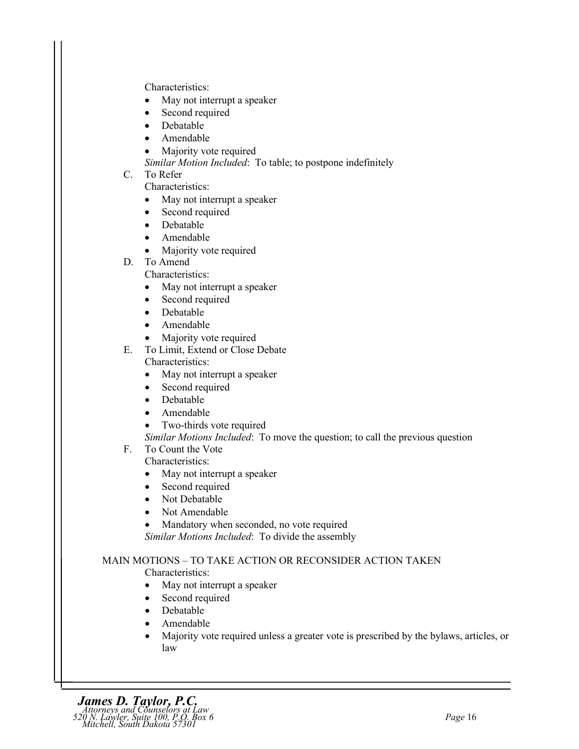Characteristics:

- May not interrupt a speaker
- Second required
- Debatable
- Amendable
- Majority vote required

*Similar Motion Included*: To table; to postpone indefinitely

C. To Refer

Characteristics:

- May not interrupt a speaker
- Second required
- Debatable
- Amendable
- Majority vote required
- D. To Amend

Characteristics:

- May not interrupt a speaker
- Second required
- Debatable
- Amendable
- Majority vote required
- E. To Limit, Extend or Close Debate Characteristics:
	- May not interrupt a speaker
	- Second required
	- Debatable
	- Amendable
	- Two-thirds vote required
	- *Similar Motions Included*: To move the question; to call the previous question
- F. To Count the Vote

Characteristics:

- May not interrupt a speaker
- Second required
- Not Debatable
- Not Amendable
- Mandatory when seconded, no vote required

*Similar Motions Included*: To divide the assembly

#### MAIN MOTIONS – TO TAKE ACTION OR RECONSIDER ACTION TAKEN

Characteristics:

- May not interrupt a speaker
- Second required
- Debatable
- Amendable
- Majority vote required unless a greater vote is prescribed by the bylaws, articles, or law